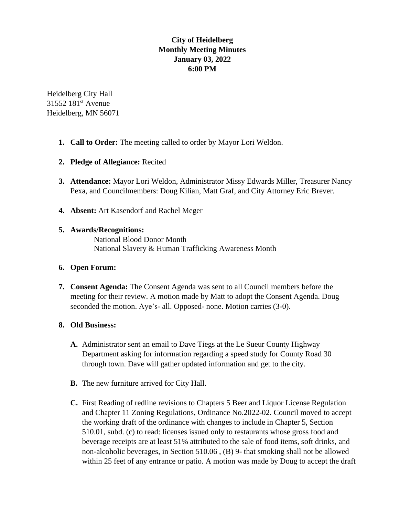# **City of Heidelberg Monthly Meeting Minutes January 03, 2022 6:00 PM**

Heidelberg City Hall 31552 181<sup>st</sup> Avenue Heidelberg, MN 56071

- **1. Call to Order:** The meeting called to order by Mayor Lori Weldon.
- **2. Pledge of Allegiance:** Recited
- **3. Attendance:** Mayor Lori Weldon, Administrator Missy Edwards Miller, Treasurer Nancy Pexa, and Councilmembers: Doug Kilian, Matt Graf, and City Attorney Eric Brever.
- **4. Absent:** Art Kasendorf and Rachel Meger

# **5. Awards/Recognitions:**

National Blood Donor Month National Slavery & Human Trafficking Awareness Month

### **6. Open Forum:**

**7. Consent Agenda:** The Consent Agenda was sent to all Council members before the meeting for their review. A motion made by Matt to adopt the Consent Agenda. Doug seconded the motion. Aye's- all. Opposed- none. Motion carries (3-0).

# **8. Old Business:**

- **A.** Administrator sent an email to Dave Tiegs at the Le Sueur County Highway Department asking for information regarding a speed study for County Road 30 through town. Dave will gather updated information and get to the city.
- **B.** The new furniture arrived for City Hall.
- **C.** First Reading of redline revisions to Chapters 5 Beer and Liquor License Regulation and Chapter 11 Zoning Regulations, Ordinance No.2022-02. Council moved to accept the working draft of the ordinance with changes to include in Chapter 5, Section 510.01, subd. (c) to read: licenses issued only to restaurants whose gross food and beverage receipts are at least 51% attributed to the sale of food items, soft drinks, and non-alcoholic beverages, in Section 510.06 , (B) 9- that smoking shall not be allowed within 25 feet of any entrance or patio. A motion was made by Doug to accept the draft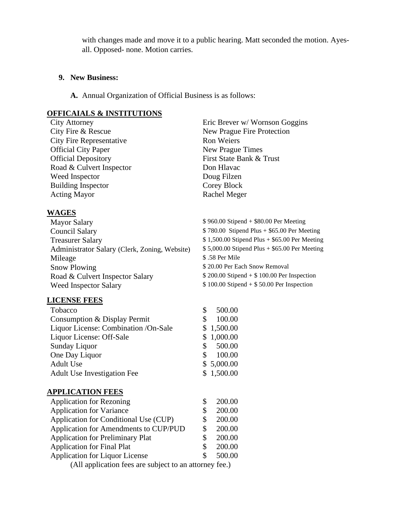with changes made and move it to a public hearing. Matt seconded the motion. Ayesall. Opposed- none. Motion carries.

### **9. New Business:**

**A.** Annual Organization of Official Business is as follows:

## **OFFICAIALS & INSTITUTIONS**

City Fire Representative Ron Weiers Official City Paper New Prague Times Official Depository First State Bank & Trust Road & Culvert Inspector Don Hlavac Weed Inspector Doug Filzen Building Inspector Corey Block Acting Mayor Rachel Meger

# **WAGES**

| <b>Mayor Salary</b>                           | \$960.00 Stipe |
|-----------------------------------------------|----------------|
| <b>Council Salary</b>                         | \$780.00 Stip  |
| <b>Treasurer Salary</b>                       | \$1,500.00 Sti |
| Administrator Salary (Clerk, Zoning, Website) | \$5,000.00 Sti |
| Mileage                                       | \$.58 Per Mile |
| <b>Snow Plowing</b>                           | \$20.00 Per Ea |
| Road & Culvert Inspector Salary               | \$200.00 Stipe |
| <b>Weed Inspector Salary</b>                  | \$100.00 Stipe |
|                                               |                |

### **LICENSE FEES**

| Tobacco                              | 500.00     |
|--------------------------------------|------------|
| Consumption & Display Permit         | 100.00     |
| Liquor License: Combination /On-Sale | \$1,500.00 |
| Liquor License: Off-Sale             | \$1,000.00 |
| Sunday Liquor                        | 500.00     |
| One Day Liquor                       | 100.00     |
| Adult Use                            | \$5,000.00 |
| <b>Adult Use Investigation Fee</b>   | \$1,500.00 |

#### **APPLICATION FEES**

| <b>Application for Rezoning</b>                        |    | 200.00 |
|--------------------------------------------------------|----|--------|
| <b>Application for Variance</b>                        |    | 200.00 |
| Application for Conditional Use (CUP)                  | S  | 200.00 |
| Application for Amendments to CUP/PUD                  | S  | 200.00 |
| <b>Application for Preliminary Plat</b>                | S  | 200.00 |
| <b>Application for Final Plat</b>                      | S  | 200.00 |
| <b>Application for Liquor License</b>                  | S. | 500.00 |
| (All application fees are subject to an attorney fee.) |    |        |

City Attorney Eric Brever w/ Wornson Goggins City Fire & Rescue New Prague Fire Protection

> $2nd + $80.00$  Per Meeting end Plus +  $$65.00$  Per Meeting pend  $Plus + $65.00$  Per Meeting pend Plus  $+$  \$65.00 Per Meeting ach Snow Removal  $Rend + $ 100.00$  Per Inspection  $2nd + $ 50.00$  Per Inspection